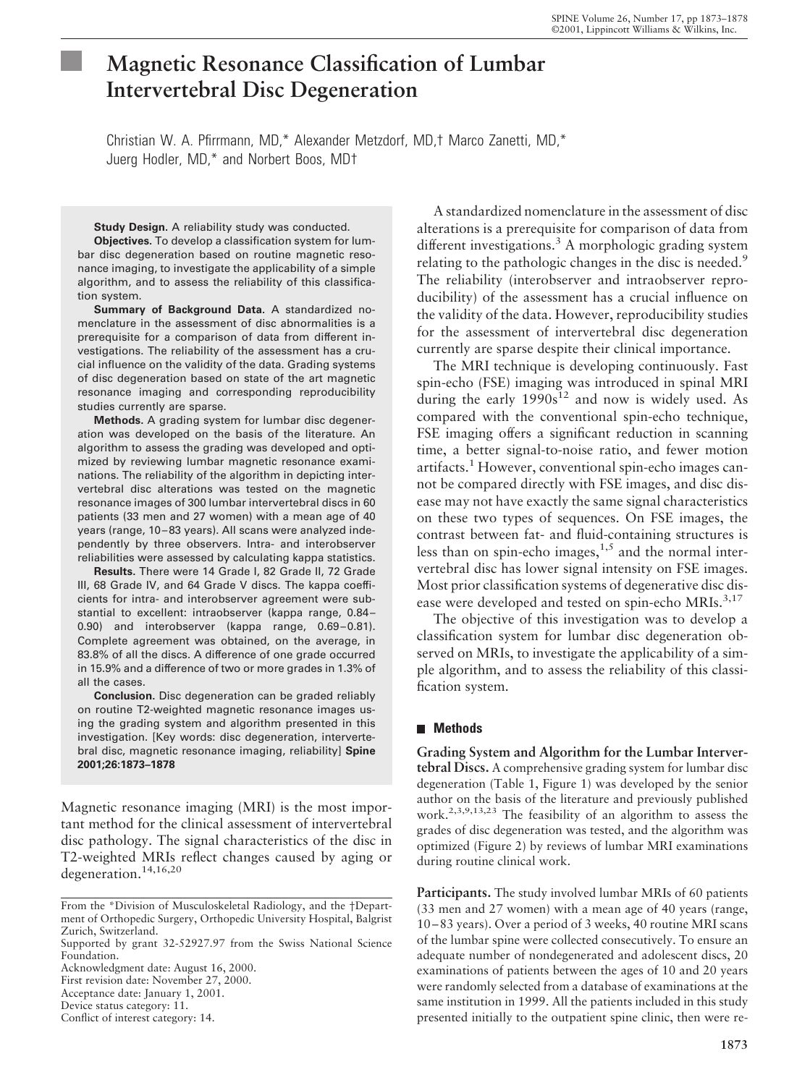# **Magnetic Resonance Classification of Lumbar Intervertebral Disc Degeneration**

Christian W. A. Pfirrmann, MD,\* Alexander Metzdorf, MD,† Marco Zanetti, MD,\* Juerg Hodler, MD,\* and Norbert Boos, MD†

**Study Design.** A reliability study was conducted.

**Objectives.** To develop a classification system for lumbar disc degeneration based on routine magnetic resonance imaging, to investigate the applicability of a simple algorithm, and to assess the reliability of this classification system.

**Summary of Background Data.** A standardized nomenclature in the assessment of disc abnormalities is a prerequisite for a comparison of data from different investigations. The reliability of the assessment has a crucial influence on the validity of the data. Grading systems of disc degeneration based on state of the art magnetic resonance imaging and corresponding reproducibility studies currently are sparse.

**Methods.** A grading system for lumbar disc degeneration was developed on the basis of the literature. An algorithm to assess the grading was developed and optimized by reviewing lumbar magnetic resonance examinations. The reliability of the algorithm in depicting intervertebral disc alterations was tested on the magnetic resonance images of 300 lumbar intervertebral discs in 60 patients (33 men and 27 women) with a mean age of 40 years (range, 10–83 years). All scans were analyzed independently by three observers. Intra- and interobserver reliabilities were assessed by calculating kappa statistics.

**Results.** There were 14 Grade I, 82 Grade II, 72 Grade III, 68 Grade IV, and 64 Grade V discs. The kappa coefficients for intra- and interobserver agreement were substantial to excellent: intraobserver (kappa range, 0.84– 0.90) and interobserver (kappa range, 0.69–0.81). Complete agreement was obtained, on the average, in 83.8% of all the discs. A difference of one grade occurred in 15.9% and a difference of two or more grades in 1.3% of all the cases.

**Conclusion.** Disc degeneration can be graded reliably on routine T2-weighted magnetic resonance images using the grading system and algorithm presented in this investigation. [Key words: disc degeneration, intervertebral disc, magnetic resonance imaging, reliability] **Spine 2001;26:1873–1878**

Magnetic resonance imaging (MRI) is the most important method for the clinical assessment of intervertebral disc pathology. The signal characteristics of the disc in T2-weighted MRIs reflect changes caused by aging or degeneration.<sup>14,16,20</sup>

First revision date: November 27, 2000.

Acceptance date: January 1, 2001.

Conflict of interest category: 14.

A standardized nomenclature in the assessment of disc alterations is a prerequisite for comparison of data from different investigations.<sup>3</sup> A morphologic grading system relating to the pathologic changes in the disc is needed.<sup>9</sup> The reliability (interobserver and intraobserver reproducibility) of the assessment has a crucial influence on the validity of the data. However, reproducibility studies for the assessment of intervertebral disc degeneration currently are sparse despite their clinical importance.

The MRI technique is developing continuously. Fast spin-echo (FSE) imaging was introduced in spinal MRI during the early  $1990s^{12}$  and now is widely used. As compared with the conventional spin-echo technique, FSE imaging offers a significant reduction in scanning time, a better signal-to-noise ratio, and fewer motion artifacts.<sup>1</sup> However, conventional spin-echo images cannot be compared directly with FSE images, and disc disease may not have exactly the same signal characteristics on these two types of sequences. On FSE images, the contrast between fat- and fluid-containing structures is less than on spin-echo images, $1,5$  and the normal intervertebral disc has lower signal intensity on FSE images. Most prior classification systems of degenerative disc disease were developed and tested on spin-echo MRIs.<sup>3,17</sup>

The objective of this investigation was to develop a classification system for lumbar disc degeneration observed on MRIs, to investigate the applicability of a simple algorithm, and to assess the reliability of this classification system.

### **Methods**

**Grading System and Algorithm for the Lumbar Intervertebral Discs.** A comprehensive grading system for lumbar disc degeneration (Table 1, Figure 1) was developed by the senior author on the basis of the literature and previously published work.2,3,9,13,23 The feasibility of an algorithm to assess the grades of disc degeneration was tested, and the algorithm was optimized (Figure 2) by reviews of lumbar MRI examinations during routine clinical work.

**Participants.** The study involved lumbar MRIs of 60 patients (33 men and 27 women) with a mean age of 40 years (range, 10–83 years). Over a period of 3 weeks, 40 routine MRI scans of the lumbar spine were collected consecutively. To ensure an adequate number of nondegenerated and adolescent discs, 20 examinations of patients between the ages of 10 and 20 years were randomly selected from a database of examinations at the same institution in 1999. All the patients included in this study presented initially to the outpatient spine clinic, then were re-

From the \*Division of Musculoskeletal Radiology, and the †Department of Orthopedic Surgery, Orthopedic University Hospital, Balgrist Zurich, Switzerland.

Supported by grant 32-52927.97 from the Swiss National Science Foundation.

Acknowledgment date: August 16, 2000.

Device status category: 11.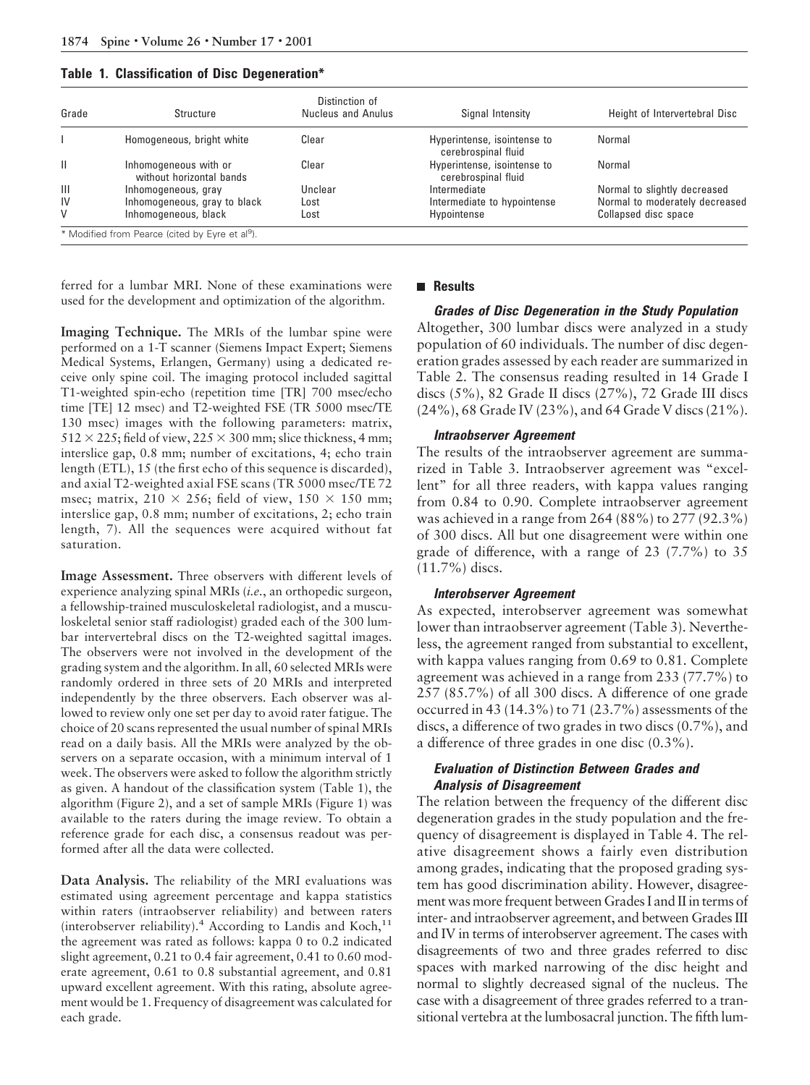|  |  | Table 1. Classification of Disc Degeneration* |  |  |  |
|--|--|-----------------------------------------------|--|--|--|
|--|--|-----------------------------------------------|--|--|--|

| Grade          | Structure                                         | Distinction of<br>Nucleus and Anulus | Signal Intensity                                   | Height of Intervertebral Disc  |
|----------------|---------------------------------------------------|--------------------------------------|----------------------------------------------------|--------------------------------|
|                | Homogeneous, bright white                         | Clear                                | Hyperintense, isointense to<br>cerebrospinal fluid | Normal                         |
| $\mathbf{H}$   | Inhomogeneous with or<br>without horizontal bands | Clear                                | Hyperintense, isointense to<br>cerebrospinal fluid | Normal                         |
| $\mathbf{III}$ | Inhomogeneous, gray                               | Unclear                              | Intermediate                                       | Normal to slightly decreased   |
| IV             | Inhomogeneous, gray to black                      | Lost                                 | Intermediate to hypointense                        | Normal to moderately decreased |
| V              | Inhomogeneous, black                              | Lost                                 | Hypointense                                        | Collapsed disc space           |

ferred for a lumbar MRI. None of these examinations were used for the development and optimization of the algorithm.

**Imaging Technique.** The MRIs of the lumbar spine were performed on a 1-T scanner (Siemens Impact Expert; Siemens Medical Systems, Erlangen, Germany) using a dedicated receive only spine coil. The imaging protocol included sagittal T1-weighted spin-echo (repetition time [TR] 700 msec/echo time [TE] 12 msec) and T2-weighted FSE (TR 5000 msec/TE 130 msec) images with the following parameters: matrix,  $512 \times 225$ ; field of view,  $225 \times 300$  mm; slice thickness, 4 mm; interslice gap, 0.8 mm; number of excitations, 4; echo train length (ETL), 15 (the first echo of this sequence is discarded), and axial T2-weighted axial FSE scans (TR 5000 msec/TE 72 msec; matrix,  $210 \times 256$ ; field of view,  $150 \times 150$  mm; interslice gap, 0.8 mm; number of excitations, 2; echo train length, 7). All the sequences were acquired without fat saturation.

**Image Assessment.** Three observers with different levels of experience analyzing spinal MRIs (*i.e.*, an orthopedic surgeon, a fellowship-trained musculoskeletal radiologist, and a musculoskeletal senior staff radiologist) graded each of the 300 lumbar intervertebral discs on the T2-weighted sagittal images. The observers were not involved in the development of the grading system and the algorithm. In all, 60 selected MRIs were randomly ordered in three sets of 20 MRIs and interpreted independently by the three observers. Each observer was allowed to review only one set per day to avoid rater fatigue. The choice of 20 scans represented the usual number of spinal MRIs read on a daily basis. All the MRIs were analyzed by the observers on a separate occasion, with a minimum interval of 1 week. The observers were asked to follow the algorithm strictly as given. A handout of the classification system (Table 1), the algorithm (Figure 2), and a set of sample MRIs (Figure 1) was available to the raters during the image review. To obtain a reference grade for each disc, a consensus readout was performed after all the data were collected.

**Data Analysis.** The reliability of the MRI evaluations was estimated using agreement percentage and kappa statistics within raters (intraobserver reliability) and between raters (interobserver reliability).<sup>4</sup> According to Landis and Koch,<sup>11</sup> the agreement was rated as follows: kappa 0 to 0.2 indicated slight agreement, 0.21 to 0.4 fair agreement, 0.41 to 0.60 moderate agreement, 0.61 to 0.8 substantial agreement, and 0.81 upward excellent agreement. With this rating, absolute agreement would be 1. Frequency of disagreement was calculated for each grade.

#### **Results**

**Grades of Disc Degeneration in the Study Population** Altogether, 300 lumbar discs were analyzed in a study population of 60 individuals. The number of disc degeneration grades assessed by each reader are summarized in Table 2. The consensus reading resulted in 14 Grade I discs (5%), 82 Grade II discs (27%), 72 Grade III discs

(24%), 68 Grade IV (23%), and 64 Grade V discs (21%).

#### **Intraobserver Agreement**

The results of the intraobserver agreement are summarized in Table 3. Intraobserver agreement was "excellent" for all three readers, with kappa values ranging from 0.84 to 0.90. Complete intraobserver agreement was achieved in a range from 264 (88%) to 277 (92.3%) of 300 discs. All but one disagreement were within one grade of difference, with a range of 23 (7.7%) to 35 (11.7%) discs.

#### **Interobserver Agreement**

As expected, interobserver agreement was somewhat lower than intraobserver agreement (Table 3). Nevertheless, the agreement ranged from substantial to excellent, with kappa values ranging from 0.69 to 0.81. Complete agreement was achieved in a range from 233 (77.7%) to 257 (85.7%) of all 300 discs. A difference of one grade occurred in 43 (14.3%) to 71 (23.7%) assessments of the discs, a difference of two grades in two discs (0.7%), and a difference of three grades in one disc (0.3%).

## **Evaluation of Distinction Between Grades and Analysis of Disagreement**

The relation between the frequency of the different disc degeneration grades in the study population and the frequency of disagreement is displayed in Table 4. The relative disagreement shows a fairly even distribution among grades, indicating that the proposed grading system has good discrimination ability. However, disagreement was more frequent between Grades I and II in terms of inter- and intraobserver agreement, and between Grades III and IV in terms of interobserver agreement. The cases with disagreements of two and three grades referred to disc spaces with marked narrowing of the disc height and normal to slightly decreased signal of the nucleus. The case with a disagreement of three grades referred to a transitional vertebra at the lumbosacral junction. The fifth lum-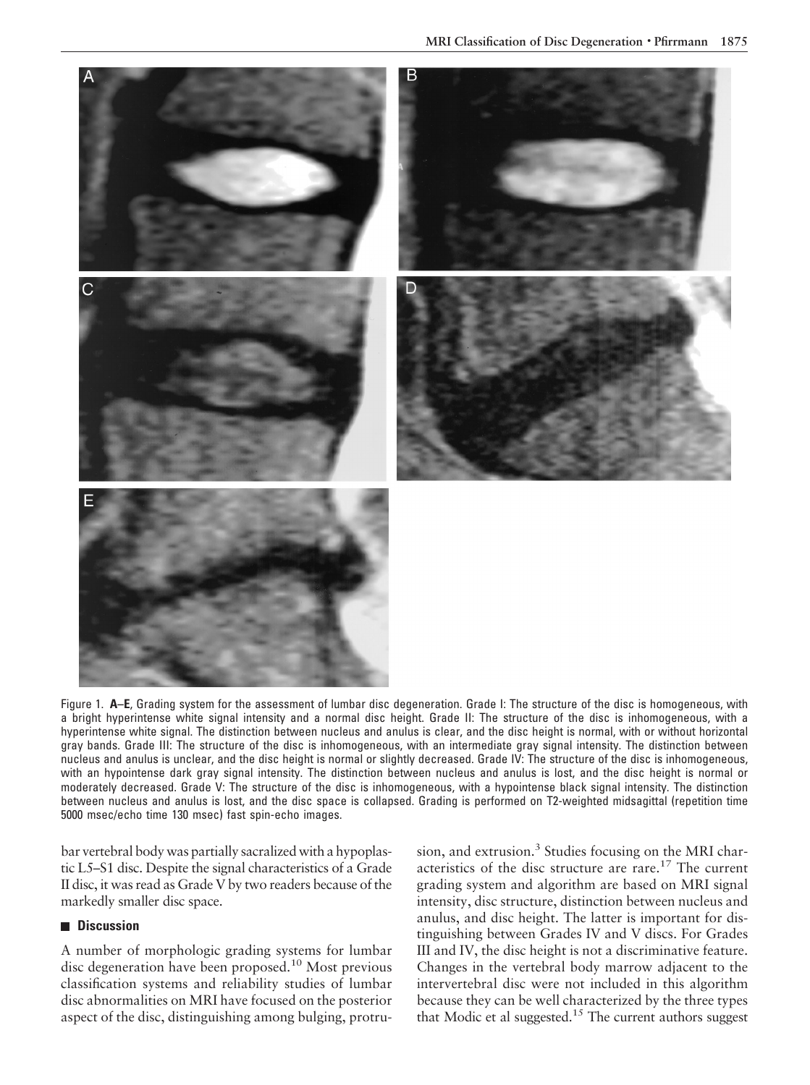

Figure 1. **A–E**, Grading system for the assessment of lumbar disc degeneration. Grade I: The structure of the disc is homogeneous, with a bright hyperintense white signal intensity and a normal disc height. Grade II: The structure of the disc is inhomogeneous, with a hyperintense white signal. The distinction between nucleus and anulus is clear, and the disc height is normal, with or without horizontal gray bands. Grade III: The structure of the disc is inhomogeneous, with an intermediate gray signal intensity. The distinction between nucleus and anulus is unclear, and the disc height is normal or slightly decreased. Grade IV: The structure of the disc is inhomogeneous, with an hypointense dark gray signal intensity. The distinction between nucleus and anulus is lost, and the disc height is normal or moderately decreased. Grade V: The structure of the disc is inhomogeneous, with a hypointense black signal intensity. The distinction between nucleus and anulus is lost, and the disc space is collapsed. Grading is performed on T2-weighted midsagittal (repetition time 5000 msec/echo time 130 msec) fast spin-echo images.

bar vertebral body was partially sacralized with a hypoplastic L5–S1 disc. Despite the signal characteristics of a Grade II disc, it was read as Grade V by two readers because of the markedly smaller disc space.

## **Discussion**

A number of morphologic grading systems for lumbar disc degeneration have been proposed.<sup>10</sup> Most previous classification systems and reliability studies of lumbar disc abnormalities on MRI have focused on the posterior aspect of the disc, distinguishing among bulging, protrusion, and extrusion.<sup>3</sup> Studies focusing on the MRI characteristics of the disc structure are rare.17 The current grading system and algorithm are based on MRI signal intensity, disc structure, distinction between nucleus and anulus, and disc height. The latter is important for distinguishing between Grades IV and V discs. For Grades III and IV, the disc height is not a discriminative feature. Changes in the vertebral body marrow adjacent to the intervertebral disc were not included in this algorithm because they can be well characterized by the three types that Modic et al suggested.<sup>15</sup> The current authors suggest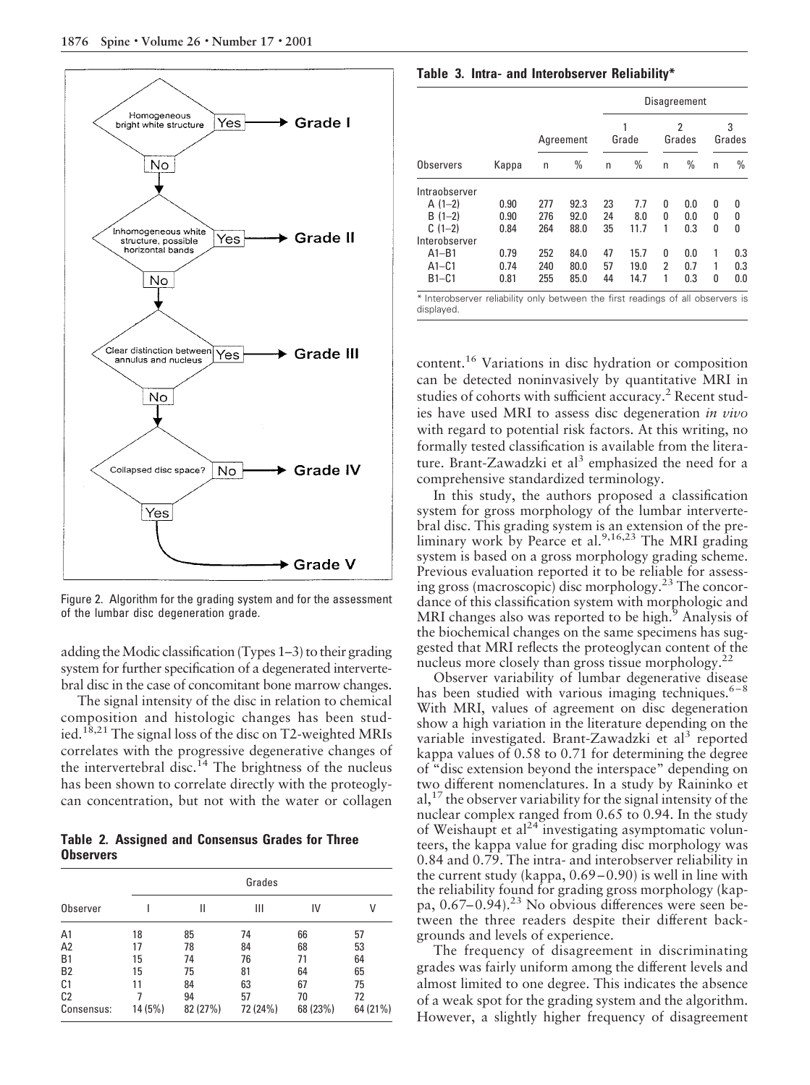

Figure 2. Algorithm for the grading system and for the assessment of the lumbar disc degeneration grade.

adding the Modic classification (Types 1–3) to their grading system for further specification of a degenerated intervertebral disc in the case of concomitant bone marrow changes.

The signal intensity of the disc in relation to chemical composition and histologic changes has been studied.<sup>18,21</sup> The signal loss of the disc on T2-weighted MRIs correlates with the progressive degenerative changes of the intervertebral disc.<sup>14</sup> The brightness of the nucleus has been shown to correlate directly with the proteoglycan concentration, but not with the water or collagen

**Table 2. Assigned and Consensus Grades for Three Observers**

|                | Grades  |          |          |          |          |  |  |
|----------------|---------|----------|----------|----------|----------|--|--|
| Observer       |         | Ш        | Ш        | IV       | V        |  |  |
| A1             | 18      | 85       | 74       | 66       | 57       |  |  |
| A2             | 17      | 78       | 84       | 68       | 53       |  |  |
| B <sub>1</sub> | 15      | 74       | 76       | 71       | 64       |  |  |
| <b>B2</b>      | 15      | 75       | 81       | 64       | 65       |  |  |
| C1             | 11      | 84       | 63       | 67       | 75       |  |  |
| C <sub>2</sub> |         | 94       | 57       | 70       | 72       |  |  |
| Consensus:     | 14 (5%) | 82 (27%) | 72 (24%) | 68 (23%) | 64 (21%) |  |  |

**Table 3. Intra- and Interobserver Reliability\***

|               |       |     |           | Disagreement |       |   |             |   |             |
|---------------|-------|-----|-----------|--------------|-------|---|-------------|---|-------------|
|               |       |     | Agreement |              | Grade |   | 2<br>Grades |   | 3<br>Grades |
| Observers     | Kappa | n   | $\%$      | n            | $\%$  | n | $\%$        | n | $\%$        |
| Intraobserver |       |     |           |              |       |   |             |   |             |
| $A(1-2)$      | 0.90  | 277 | 92.3      | 23           | 7.7   | O | 0.0         | 0 | 0           |
| $B(1-2)$      | 0.90  | 276 | 92.0      | 24           | 8.0   | 0 | 0.0         | 0 | 0           |
| $C(1-2)$      | 0.84  | 264 | 88.0      | 35           | 11.7  | 1 | 0.3         | 0 | 0           |
| Interobserver |       |     |           |              |       |   |             |   |             |
| $A1 - B1$     | 0.79  | 252 | 84.0      | 47           | 15.7  | 0 | 0.0         | 1 | 0.3         |
| $A1 - C1$     | 0.74  | 240 | 80.0      | 57           | 19.0  | 2 | 0.7         |   | 0.3         |
| $B1 - C1$     | 0.81  | 255 | 85.0      | 44           | 14.7  | 1 | 0.3         | 0 | 0.0         |

content.<sup>16</sup> Variations in disc hydration or composition can be detected noninvasively by quantitative MRI in studies of cohorts with sufficient accuracy.<sup>2</sup> Recent studies have used MRI to assess disc degeneration *in vivo* with regard to potential risk factors. At this writing, no formally tested classification is available from the literature. Brant-Zawadzki et al<sup>3</sup> emphasized the need for a comprehensive standardized terminology.

In this study, the authors proposed a classification system for gross morphology of the lumbar intervertebral disc. This grading system is an extension of the preliminary work by Pearce et al.<sup>9,16,23</sup> The MRI grading system is based on a gross morphology grading scheme. Previous evaluation reported it to be reliable for assessing gross (macroscopic) disc morphology.23 The concordance of this classification system with morphologic and MRI changes also was reported to be high.<sup>9</sup> Analysis of the biochemical changes on the same specimens has suggested that MRI reflects the proteoglycan content of the nucleus more closely than gross tissue morphology.<sup>22</sup>

Observer variability of lumbar degenerative disease has been studied with various imaging techniques. $6-8$ With MRI, values of agreement on disc degeneration show a high variation in the literature depending on the variable investigated. Brant-Zawadzki et al<sup>3</sup> reported kappa values of 0.58 to 0.71 for determining the degree of "disc extension beyond the interspace" depending on two different nomenclatures. In a study by Raininko et al,  $^{17}$  the observer variability for the signal intensity of the nuclear complex ranged from 0.65 to 0.94. In the study of Weishaupt et  $al^{24}$  investigating asymptomatic volunteers, the kappa value for grading disc morphology was 0.84 and 0.79. The intra- and interobserver reliability in the current study (kappa, 0.69–0.90) is well in line with the reliability found for grading gross morphology (kappa,  $0.67-0.94$ ).<sup>23</sup> No obvious differences were seen between the three readers despite their different backgrounds and levels of experience.

The frequency of disagreement in discriminating grades was fairly uniform among the different levels and almost limited to one degree. This indicates the absence of a weak spot for the grading system and the algorithm. However, a slightly higher frequency of disagreement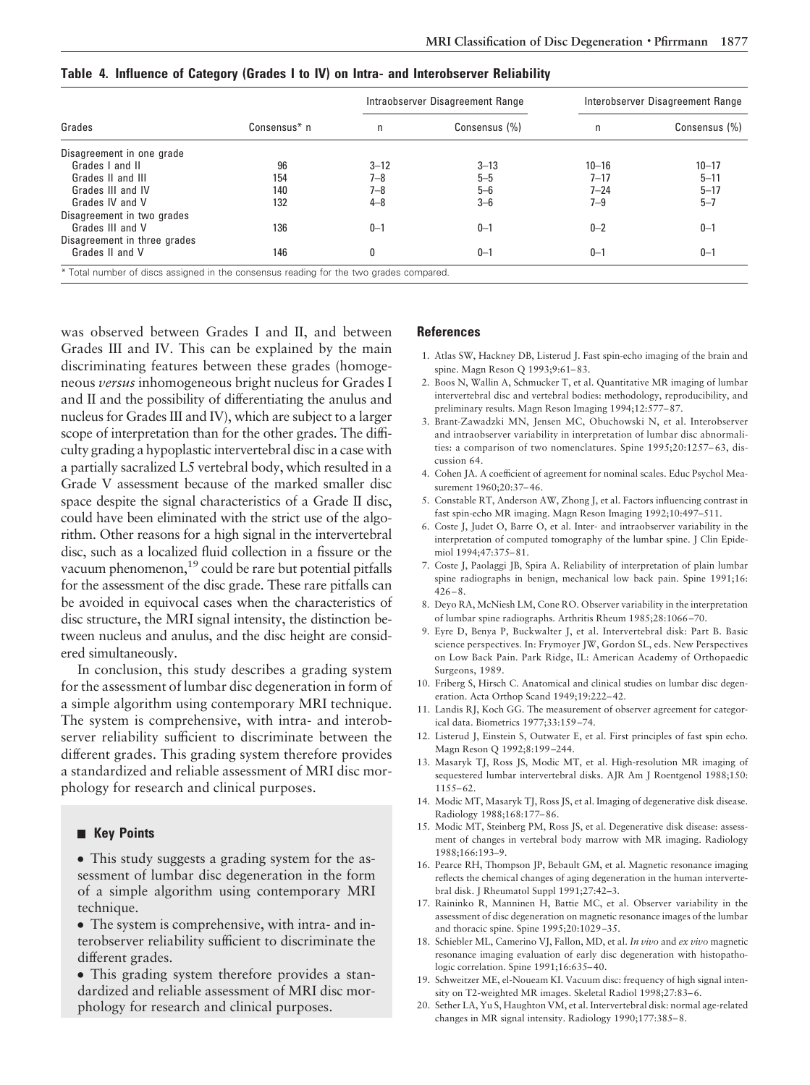|                              |              |          | Intraobserver Disagreement Range | Interobserver Disagreement Range |               |  |
|------------------------------|--------------|----------|----------------------------------|----------------------------------|---------------|--|
| Grades                       | Consensus* n | n        | Consensus (%)                    | n                                | Consensus (%) |  |
| Disagreement in one grade    |              |          |                                  |                                  |               |  |
| Grades I and II              | 96           | $3 - 12$ | $3 - 13$                         | $10 - 16$                        | $10 - 17$     |  |
| Grades II and III            | 154          | $7 - 8$  | $5 - 5$                          | $7 - 17$                         | $5 - 11$      |  |
| Grades III and IV            | 140          | $7 - 8$  | $5 - 6$                          | $7 - 24$                         | $5 - 17$      |  |
| Grades IV and V              | 132          | $4 - 8$  | $3 - 6$                          | $7 - 9$                          | $5 - 7$       |  |
| Disagreement in two grades   |              |          |                                  |                                  |               |  |
| Grades III and V             | 136          | $0 - 1$  | $0 - 1$                          | $0 - 2$                          | $0 - 1$       |  |
| Disagreement in three grades |              |          |                                  |                                  |               |  |
| Grades II and V              | 146          | 0        | $0 - 1$                          | $0 - 1$                          | $0 - 1$       |  |

**Table 4. Influence of Category (Grades I to IV) on Intra- and Interobserver Reliability**

\* Total number of discs assigned in the consensus reading for the two grades compared.

was observed between Grades I and II, and between Grades III and IV. This can be explained by the main discriminating features between these grades (homogeneous *versus* inhomogeneous bright nucleus for Grades I and II and the possibility of differentiating the anulus and nucleus for Grades III and IV), which are subject to a larger scope of interpretation than for the other grades. The difficulty grading a hypoplastic intervertebral disc in a case with a partially sacralized L5 vertebral body, which resulted in a Grade V assessment because of the marked smaller disc space despite the signal characteristics of a Grade II disc, could have been eliminated with the strict use of the algorithm. Other reasons for a high signal in the intervertebral disc, such as a localized fluid collection in a fissure or the vacuum phenomenon,<sup>19</sup> could be rare but potential pitfalls for the assessment of the disc grade. These rare pitfalls can be avoided in equivocal cases when the characteristics of disc structure, the MRI signal intensity, the distinction between nucleus and anulus, and the disc height are considered simultaneously.

In conclusion, this study describes a grading system for the assessment of lumbar disc degeneration in form of a simple algorithm using contemporary MRI technique. The system is comprehensive, with intra- and interobserver reliability sufficient to discriminate between the different grades. This grading system therefore provides a standardized and reliable assessment of MRI disc morphology for research and clinical purposes.

#### **Key Points**

• This study suggests a grading system for the assessment of lumbar disc degeneration in the form of a simple algorithm using contemporary MRI technique.

- The system is comprehensive, with intra- and interobserver reliability sufficient to discriminate the different grades.
- This grading system therefore provides a standardized and reliable assessment of MRI disc morphology for research and clinical purposes.

#### **References**

- 1. Atlas SW, Hackney DB, Listerud J. Fast spin-echo imaging of the brain and spine. Magn Reson Q 1993;9:61–83.
- 2. Boos N, Wallin A, Schmucker T, et al. Quantitative MR imaging of lumbar intervertebral disc and vertebral bodies: methodology, reproducibility, and preliminary results. Magn Reson Imaging 1994;12:577–87.
- 3. Brant-Zawadzki MN, Jensen MC, Obuchowski N, et al. Interobserver and intraobserver variability in interpretation of lumbar disc abnormalities: a comparison of two nomenclatures. Spine 1995;20:1257–63, discussion 64.
- 4. Cohen JA. A coefficient of agreement for nominal scales. Educ Psychol Measurement 1960;20:37–46.
- 5. Constable RT, Anderson AW, Zhong J, et al. Factors influencing contrast in fast spin-echo MR imaging. Magn Reson Imaging 1992;10:497–511.
- 6. Coste J, Judet O, Barre O, et al. Inter- and intraobserver variability in the interpretation of computed tomography of the lumbar spine. J Clin Epidemiol 1994;47:375–81.
- 7. Coste J, Paolaggi JB, Spira A. Reliability of interpretation of plain lumbar spine radiographs in benign, mechanical low back pain. Spine 1991;16: 426–8.
- 8. Deyo RA, McNiesh LM, Cone RO. Observer variability in the interpretation of lumbar spine radiographs. Arthritis Rheum 1985;28:1066–70.
- 9. Eyre D, Benya P, Buckwalter J, et al. Intervertebral disk: Part B. Basic science perspectives. In: Frymoyer JW, Gordon SL, eds. New Perspectives on Low Back Pain. Park Ridge, IL: American Academy of Orthopaedic Surgeons, 1989.
- 10. Friberg S, Hirsch C. Anatomical and clinical studies on lumbar disc degeneration. Acta Orthop Scand 1949;19:222–42.
- 11. Landis RJ, Koch GG. The measurement of observer agreement for categorical data. Biometrics 1977;33:159–74.
- 12. Listerud J, Einstein S, Outwater E, et al. First principles of fast spin echo. Magn Reson Q 1992;8:199–244.
- 13. Masaryk TJ, Ross JS, Modic MT, et al. High-resolution MR imaging of sequestered lumbar intervertebral disks. AJR Am J Roentgenol 1988;150: 1155–62.
- 14. Modic MT, Masaryk TJ, Ross JS, et al. Imaging of degenerative disk disease. Radiology 1988;168:177–86.
- 15. Modic MT, Steinberg PM, Ross JS, et al. Degenerative disk disease: assessment of changes in vertebral body marrow with MR imaging. Radiology 1988;166:193–9.
- 16. Pearce RH, Thompson JP, Bebault GM, et al. Magnetic resonance imaging reflects the chemical changes of aging degeneration in the human intervertebral disk. J Rheumatol Suppl 1991;27:42–3.
- 17. Raininko R, Manninen H, Battie MC, et al. Observer variability in the assessment of disc degeneration on magnetic resonance images of the lumbar and thoracic spine. Spine 1995;20:1029–35.
- 18. Schiebler ML, Camerino VJ, Fallon, MD, et al. *In vivo* and *ex vivo* magnetic resonance imaging evaluation of early disc degeneration with histopathologic correlation. Spine 1991;16:635–40.
- 19. Schweitzer ME, el-Noueam KI. Vacuum disc: frequency of high signal intensity on T2-weighted MR images. Skeletal Radiol 1998;27:83–6.
- 20. Sether LA, Yu S, Haughton VM, et al. Intervertebral disk: normal age-related changes in MR signal intensity. Radiology 1990;177:385–8.